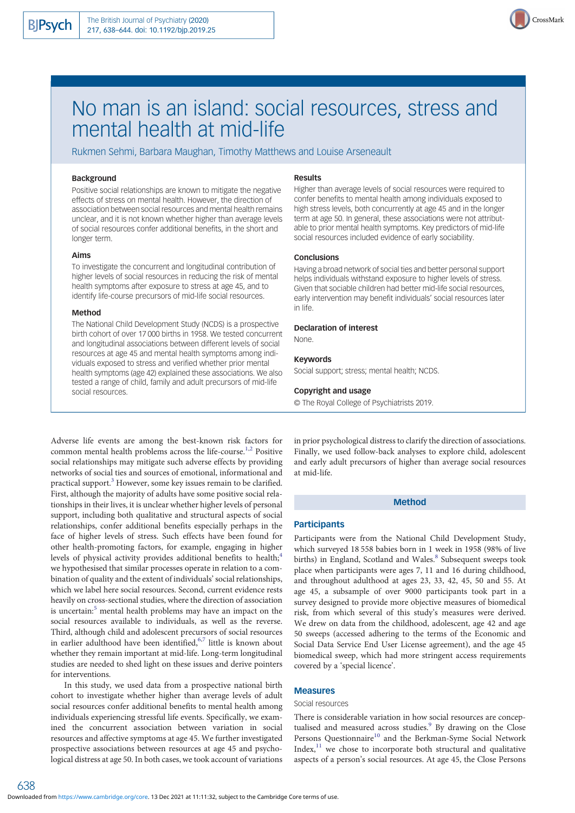

# No man is an island: social resources, stress and mental health at mid-life

Rukmen Sehmi, Barbara Maughan, Timothy Matthews and Louise Arseneault

## Background

Positive social relationships are known to mitigate the negative effects of stress on mental health. However, the direction of association between social resources and mental health remains unclear, and it is not known whether higher than average levels of social resources confer additional benefits, in the short and longer term.

#### Aims

To investigate the concurrent and longitudinal contribution of higher levels of social resources in reducing the risk of mental health symptoms after exposure to stress at age 45, and to identify life-course precursors of mid-life social resources.

## Method

The National Child Development Study (NCDS) is a prospective birth cohort of over 17 000 births in 1958. We tested concurrent and longitudinal associations between different levels of social resources at age 45 and mental health symptoms among individuals exposed to stress and verified whether prior mental health symptoms (age 42) explained these associations. We also tested a range of child, family and adult precursors of mid-life social resources.

#### Results

Higher than average levels of social resources were required to confer benefits to mental health among individuals exposed to high stress levels, both concurrently at age 45 and in the longer term at age 50. In general, these associations were not attributable to prior mental health symptoms. Key predictors of mid-life social resources included evidence of early sociability.

## **Conclusions**

Having a broad network of social ties and better personal support helps individuals withstand exposure to higher levels of stress. Given that sociable children had better mid-life social resources, early intervention may benefit individuals' social resources later in life.

## Declaration of interest

None.

#### Keywords

Social support; stress; mental health; NCDS.

#### Copyright and usage

© The Royal College of Psychiatrists 2019.

Adverse life events are among the best-known risk factors for common mental health problems across the life-course.<sup>[1](#page-5-0),[2](#page-5-0)</sup> Positive social relationships may mitigate such adverse effects by providing networks of social ties and sources of emotional, informational and practical support.<sup>[3](#page-5-0)</sup> However, some key issues remain to be clarified. First, although the majority of adults have some positive social relationships in their lives, it is unclear whether higher levels of personal support, including both qualitative and structural aspects of social relationships, confer additional benefits especially perhaps in the face of higher levels of stress. Such effects have been found for other health-promoting factors, for example, engaging in higher levels of physical activity provides additional benefits to health; $4$ we hypothesised that similar processes operate in relation to a combination of quality and the extent of individuals' social relationships, which we label here social resources. Second, current evidence rests heavily on cross-sectional studies, where the direction of association is uncertain:<sup>[5](#page-5-0)</sup> mental health problems may have an impact on the social resources available to individuals, as well as the reverse. Third, although child and adolescent precursors of social resources in earlier adulthood have been identified,  $\sp{6,7}$  $\sp{6,7}$  $\sp{6,7}$  $\sp{6,7}$  $\sp{6,7}$  little is known about whether they remain important at mid-life. Long-term longitudinal studies are needed to shed light on these issues and derive pointers for interventions.

In this study, we used data from a prospective national birth cohort to investigate whether higher than average levels of adult social resources confer additional benefits to mental health among individuals experiencing stressful life events. Specifically, we examined the concurrent association between variation in social resources and affective symptoms at age 45. We further investigated prospective associations between resources at age 45 and psychological distress at age 50. In both cases, we took account of variations

in prior psychological distress to clarify the direction of associations. Finally, we used follow-back analyses to explore child, adolescent and early adult precursors of higher than average social resources at mid-life.

## Method

#### **Participants**

Participants were from the National Child Development Study, which surveyed 18 558 babies born in 1 week in 1958 (98% of live births) in England, Scotland and Wales.<sup>[8](#page-5-0)</sup> Subsequent sweeps took place when participants were ages 7, 11 and 16 during childhood, and throughout adulthood at ages 23, 33, 42, 45, 50 and 55. At age 45, a subsample of over 9000 participants took part in a survey designed to provide more objective measures of biomedical risk, from which several of this study's measures were derived. We drew on data from the childhood, adolescent, age 42 and age 50 sweeps (accessed adhering to the terms of the Economic and Social Data Service End User License agreement), and the age 45 biomedical sweep, which had more stringent access requirements covered by a 'special licence'.

## Measures

#### Social resources

There is considerable variation in how social resources are concep-tualised and measured across studies.<sup>[9](#page-5-0)</sup> By drawing on the Close Persons Questionnaire<sup>[10](#page-5-0)</sup> and the Berkman-Syme Social Network Index, $11$  we chose to incorporate both structural and qualitative aspects of a person's social resources. At age 45, the Close Persons

638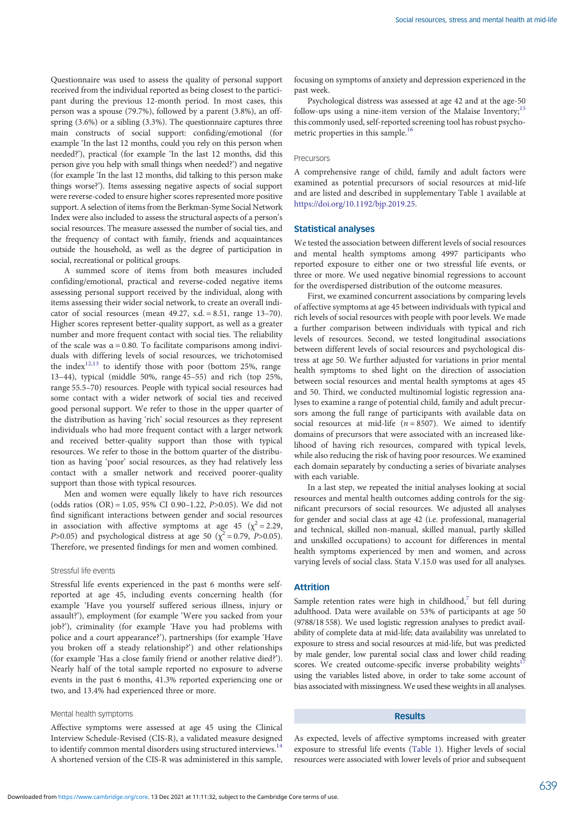Questionnaire was used to assess the quality of personal support received from the individual reported as being closest to the participant during the previous 12-month period. In most cases, this person was a spouse (79.7%), followed by a parent (3.8%), an offspring (3.6%) or a sibling (3.3%). The questionnaire captures three main constructs of social support: confiding/emotional (for example 'In the last 12 months, could you rely on this person when needed?'), practical (for example 'In the last 12 months, did this person give you help with small things when needed?') and negative (for example 'In the last 12 months, did talking to this person make things worse?'). Items assessing negative aspects of social support were reverse-coded to ensure higher scores represented more positive support. A selection of items from the Berkman-Syme Social Network Index were also included to assess the structural aspects of a person's social resources. The measure assessed the number of social ties, and the frequency of contact with family, friends and acquaintances outside the household, as well as the degree of participation in social, recreational or political groups.

A summed score of items from both measures included confiding/emotional, practical and reverse-coded negative items assessing personal support received by the individual, along with items assessing their wider social network, to create an overall indicator of social resources (mean  $49.27$ , s.d.  $= 8.51$ , range  $13-70$ ). Higher scores represent better-quality support, as well as a greater number and more frequent contact with social ties. The reliability of the scale was  $\alpha = 0.80$ . To facilitate comparisons among individuals with differing levels of social resources, we trichotomised the index $12,13$  $12,13$  $12,13$  to identify those with poor (bottom 25%, range 13–44), typical (middle 50%, range 45–55) and rich (top 25%, range 55.5–70) resources. People with typical social resources had some contact with a wider network of social ties and received good personal support. We refer to those in the upper quarter of the distribution as having 'rich' social resources as they represent individuals who had more frequent contact with a larger network and received better-quality support than those with typical resources. We refer to those in the bottom quarter of the distribution as having 'poor' social resources, as they had relatively less contact with a smaller network and received poorer-quality support than those with typical resources.

Men and women were equally likely to have rich resources (odds ratios  $(OR) = 1.05$ , 95% CI 0.90-1.22, P>0.05). We did not find significant interactions between gender and social resources in association with affective symptoms at age 45 ( $\chi^2$  = 2.29, P>0.05) and psychological distress at age 50 ( $\chi^2$  = 0.79, P>0.05). Therefore, we presented findings for men and women combined.

#### Stressful life events

Stressful life events experienced in the past 6 months were selfreported at age 45, including events concerning health (for example 'Have you yourself suffered serious illness, injury or assault?'), employment (for example 'Were you sacked from your job?'), criminality (for example 'Have you had problems with police and a court appearance?'), partnerships (for example 'Have you broken off a steady relationship?') and other relationships (for example 'Has a close family friend or another relative died?'). Nearly half of the total sample reported no exposure to adverse events in the past 6 months, 41.3% reported experiencing one or two, and 13.4% had experienced three or more.

## Mental health symptoms

Affective symptoms were assessed at age 45 using the Clinical Interview Schedule-Revised (CIS-R), a validated measure designed to identify common mental disorders using structured interviews.<sup>[14](#page-5-0)</sup> A shortened version of the CIS-R was administered in this sample, focusing on symptoms of anxiety and depression experienced in the past week.

Psychological distress was assessed at age 42 and at the age-50 follow-ups using a nine-item version of the Malaise Inventory;<sup>[15](#page-5-0)</sup> this commonly used, self-reported screening tool has robust psycho-metric properties in this sample.<sup>[16](#page-5-0)</sup>

#### **Precursors**

A comprehensive range of child, family and adult factors were examined as potential precursors of social resources at mid-life and are listed and described in supplementary Table 1 available at [https://doi.org/10.1192/bjp.2019.25.](https://doi.org/10.1192/bjp.2019.25)

#### Statistical analyses

We tested the association between different levels of social resources and mental health symptoms among 4997 participants who reported exposure to either one or two stressful life events, or three or more. We used negative binomial regressions to account for the overdispersed distribution of the outcome measures.

First, we examined concurrent associations by comparing levels of affective symptoms at age 45 between individuals with typical and rich levels of social resources with people with poor levels. We made a further comparison between individuals with typical and rich levels of resources. Second, we tested longitudinal associations between different levels of social resources and psychological distress at age 50. We further adjusted for variations in prior mental health symptoms to shed light on the direction of association between social resources and mental health symptoms at ages 45 and 50. Third, we conducted multinomial logistic regression analyses to examine a range of potential child, family and adult precursors among the full range of participants with available data on social resources at mid-life ( $n = 8507$ ). We aimed to identify domains of precursors that were associated with an increased likelihood of having rich resources, compared with typical levels, while also reducing the risk of having poor resources. We examined each domain separately by conducting a series of bivariate analyses with each variable.

In a last step, we repeated the initial analyses looking at social resources and mental health outcomes adding controls for the significant precursors of social resources. We adjusted all analyses for gender and social class at age 42 (i.e. professional, managerial and technical, skilled non-manual, skilled manual, partly skilled and unskilled occupations) to account for differences in mental health symptoms experienced by men and women, and across varying levels of social class. Stata V.15.0 was used for all analyses.

#### Attrition

Sample retention rates were high in childhood, $\bar{z}$  but fell during adulthood. Data were available on 53% of participants at age 50 (9788/18 558). We used logistic regression analyses to predict availability of complete data at mid-life; data availability was unrelated to exposure to stress and social resources at mid-life, but was predicted by male gender, low parental social class and lower child reading scores. We created outcome-specific inverse probability weights $17$ using the variables listed above, in order to take some account of bias associated with missingness.We used these weights in all analyses.

## Results

As expected, levels of affective symptoms increased with greater exposure to stressful life events ([Table 1](#page-2-0)). Higher levels of social resources were associated with lower levels of prior and subsequent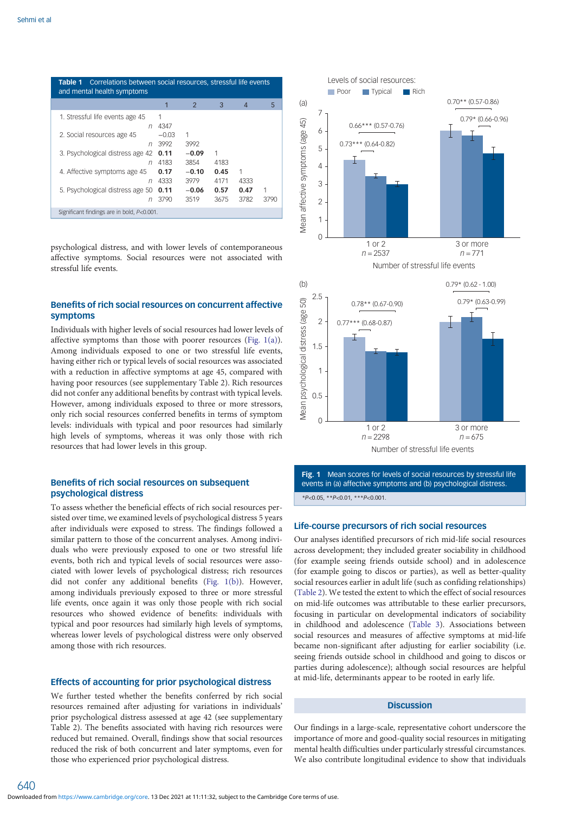<span id="page-2-0"></span>

| Correlations between social resources, stressful life events<br>Table 1<br>and mental health symptoms |         |               |      |      |      |  |  |  |
|-------------------------------------------------------------------------------------------------------|---------|---------------|------|------|------|--|--|--|
|                                                                                                       | 1       | $\mathcal{P}$ | 3    | 4    | 5    |  |  |  |
| 1. Stressful life events age 45                                                                       | 1       |               |      |      |      |  |  |  |
| n                                                                                                     | 4347    |               |      |      |      |  |  |  |
| 2. Social resources age 45                                                                            | $-0.03$ | 1             |      |      |      |  |  |  |
| n                                                                                                     | 3992    | 3992          |      |      |      |  |  |  |
| 3. Psychological distress age 42                                                                      | 0.11    | $-0.09$       | 1    |      |      |  |  |  |
| n                                                                                                     | 4183    | 3854          | 4183 |      |      |  |  |  |
| 4. Affective symptoms age 45                                                                          | 0.17    | $-0.10$       | 0.45 | 1    |      |  |  |  |
| n                                                                                                     | 4333    | 3979          | 4171 | 4333 |      |  |  |  |
| 5. Psychological distress age 50                                                                      | 0.11    | $-0.06$       | 0.57 | 0.47 |      |  |  |  |
| n                                                                                                     | 3790    | 3519          | 3675 | 3782 | 3790 |  |  |  |
| Significant findings are in bold, P<0.001.                                                            |         |               |      |      |      |  |  |  |

psychological distress, and with lower levels of contemporaneous affective symptoms. Social resources were not associated with stressful life events.

## Benefits of rich social resources on concurrent affective symptoms

Individuals with higher levels of social resources had lower levels of affective symptoms than those with poorer resources (Fig. 1(a)). Among individuals exposed to one or two stressful life events, having either rich or typical levels of social resources was associated with a reduction in affective symptoms at age 45, compared with having poor resources (see supplementary Table 2). Rich resources did not confer any additional benefits by contrast with typical levels. However, among individuals exposed to three or more stressors, only rich social resources conferred benefits in terms of symptom levels: individuals with typical and poor resources had similarly high levels of symptoms, whereas it was only those with rich resources that had lower levels in this group.

## Benefits of rich social resources on subsequent psychological distress

To assess whether the beneficial effects of rich social resources persisted over time, we examined levels of psychological distress 5 years after individuals were exposed to stress. The findings followed a similar pattern to those of the concurrent analyses. Among individuals who were previously exposed to one or two stressful life events, both rich and typical levels of social resources were associated with lower levels of psychological distress; rich resources did not confer any additional benefits (Fig. 1(b)). However, among individuals previously exposed to three or more stressful life events, once again it was only those people with rich social resources who showed evidence of benefits: individuals with typical and poor resources had similarly high levels of symptoms, whereas lower levels of psychological distress were only observed among those with rich resources.

## Effects of accounting for prior psychological distress

We further tested whether the benefits conferred by rich social resources remained after adjusting for variations in individuals' prior psychological distress assessed at age 42 (see supplementary Table 2). The benefits associated with having rich resources were reduced but remained. Overall, findings show that social resources reduced the risk of both concurrent and later symptoms, even for those who experienced prior psychological distress.



Fig. 1 Mean scores for levels of social resources by stressful life events in (a) affective symptoms and (b) psychological distress.  $*P<0.05$ ,  $*P<0.01$ ,  $**P<0.001$ .

## Life-course precursors of rich social resources

Our analyses identified precursors of rich mid-life social resources across development; they included greater sociability in childhood (for example seeing friends outside school) and in adolescence (for example going to discos or parties), as well as better-quality social resources earlier in adult life (such as confiding relationships) ([Table 2\)](#page-3-0). We tested the extent to which the effect of social resources on mid-life outcomes was attributable to these earlier precursors, focusing in particular on developmental indicators of sociability in childhood and adolescence [\(Table 3](#page-3-0)). Associations between social resources and measures of affective symptoms at mid-life became non-significant after adjusting for earlier sociability (i.e. seeing friends outside school in childhood and going to discos or parties during adolescence); although social resources are helpful at mid-life, determinants appear to be rooted in early life.

## **Discussion**

Our findings in a large-scale, representative cohort underscore the importance of more and good-quality social resources in mitigating mental health difficulties under particularly stressful circumstances. We also contribute longitudinal evidence to show that individuals

640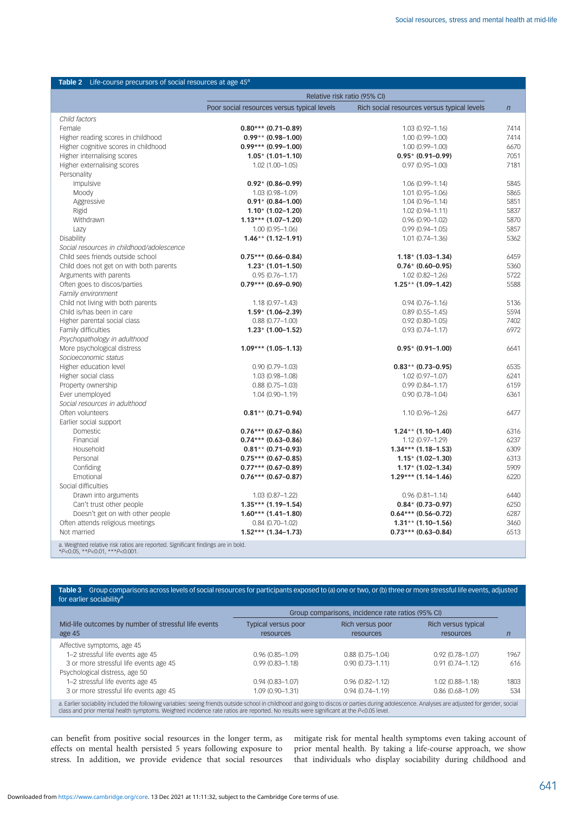<span id="page-3-0"></span>

| <b>Table 2</b> Life-course precursors of social resources at age 45 <sup>d</sup>                                   |                                             |                                             |              |  |  |
|--------------------------------------------------------------------------------------------------------------------|---------------------------------------------|---------------------------------------------|--------------|--|--|
|                                                                                                                    | Relative risk ratio (95% CI)                |                                             |              |  |  |
|                                                                                                                    | Poor social resources versus typical levels | Rich social resources versus typical levels | $\sqrt{n}$   |  |  |
| Child factors                                                                                                      |                                             |                                             |              |  |  |
| Female                                                                                                             | $0.80***(0.71-0.89)$                        | $1.03(0.92 - 1.16)$                         | 7414         |  |  |
| Higher reading scores in childhood                                                                                 | $0.99**$ (0.98-1.00)                        | $1.00(0.99 - 1.00)$                         | 7414         |  |  |
| Higher cognitive scores in childhood                                                                               | $0.99***$ (0.99-1.00)                       | 1.00 (0.99-1.00)                            | 6670         |  |  |
| Higher internalising scores                                                                                        | $1.05*$ (1.01-1.10)                         | $0.95* (0.91-0.99)$                         | 7051         |  |  |
| Higher externalising scores                                                                                        | $1.02(1.00 - 1.05)$                         | $0.97(0.95 - 1.00)$                         | 7181         |  |  |
| Personality                                                                                                        |                                             |                                             |              |  |  |
| Impulsive                                                                                                          | $0.92* (0.86 - 0.99)$                       | $1.06(0.99 - 1.14)$                         | 5845         |  |  |
| Moody                                                                                                              | 1.03 (0.98-1.09)                            | $1.01(0.95 - 1.06)$                         | 5865         |  |  |
| Aggressive                                                                                                         | $0.91* (0.84 - 1.00)$                       | $1.04(0.96 - 1.14)$                         | 5851         |  |  |
| Rigid                                                                                                              | $1.10*$ (1.02-1.20)                         | $1.02(0.94 - 1.11)$                         | 5837         |  |  |
| Withdrawn                                                                                                          | $1.13***(1.07-1.20)$                        | $0.96(0.90 - 1.02)$                         | 5870         |  |  |
| Lazy                                                                                                               | $1.00(0.95 - 1.06)$                         | $0.99(0.94 - 1.05)$                         | 5857         |  |  |
| Disability                                                                                                         | $1.46**$ (1.12-1.91)                        | $1.01(0.74 - 1.36)$                         | 5362         |  |  |
| Social resources in childhood/adolescence                                                                          |                                             |                                             |              |  |  |
| Child sees friends outside school                                                                                  | $0.75***(0.66-0.84)$                        | $1.18*(1.03-1.34)$                          | 6459         |  |  |
| Child does not get on with both parents                                                                            | $1.23*(1.01-1.50)$                          | $0.76*(0.60-0.95)$                          | 5360         |  |  |
| Arguments with parents                                                                                             | $0.95(0.76 - 1.17)$                         | $1.02$ (0.82-1.26)                          | 5722         |  |  |
| Often goes to discos/parties                                                                                       | $0.79***$ (0.69-0.90)                       | $1.25**$ (1.09-1.42)                        | 5588         |  |  |
| Family environment                                                                                                 |                                             |                                             |              |  |  |
| Child not living with both parents                                                                                 | $1.18(0.97 - 1.43)$                         | $0.94(0.76 - 1.16)$                         | 5136         |  |  |
| Child is/has been in care                                                                                          | $1.59*$ (1.06-2.39)                         | $0.89(0.55 - 1.45)$                         | 5594         |  |  |
| Higher parental social class                                                                                       | $0.88(0.77 - 1.00)$                         | $0.92(0.80 - 1.05)$                         | 7402         |  |  |
| Family difficulties                                                                                                | $1.23*$ (1.00-1.52)                         | $0.93(0.74 - 1.17)$                         | 6972         |  |  |
| Psychopathology in adulthood                                                                                       |                                             |                                             |              |  |  |
| More psychological distress                                                                                        | $1.09***$ (1.05-1.13)                       | $0.95* (0.91-1.00)$                         | 6641         |  |  |
| Socioeconomic status                                                                                               |                                             |                                             |              |  |  |
| Higher education level                                                                                             | $0.90(0.79 - 1.03)$                         | $0.83**$ (0.73-0.95)                        | 6535         |  |  |
| Higher social class                                                                                                | 1.03 (0.98-1.08)                            | $1.02$ (0.97-1.07)                          | 6241         |  |  |
| Property ownership                                                                                                 | $0.88(0.75 - 1.03)$                         | $0.99(0.84 - 1.17)$                         | 6159         |  |  |
| Ever unemployed                                                                                                    | $1.04(0.90 - 1.19)$                         | $0.90(0.78 - 1.04)$                         | 6361         |  |  |
| Social resources in adulthood                                                                                      |                                             |                                             |              |  |  |
| Often volunteers                                                                                                   | $0.81**$ (0.71-0.94)                        | $1.10(0.96 - 1.26)$                         | 6477         |  |  |
| Earlier social support                                                                                             |                                             |                                             |              |  |  |
| Domestic                                                                                                           | $0.76***(0.67-0.86)$                        | $1.24**$ (1.10-1.40)                        | 6316         |  |  |
| Financial                                                                                                          | $0.74***$ (0.63-0.86)                       | $1.12(0.97 - 1.29)$                         | 6237         |  |  |
| Household                                                                                                          | $0.81**$ (0.71–0.93)                        | $1.34***$ (1.18-1.53)                       | 6309         |  |  |
| Personal                                                                                                           | $0.75***(0.67-0.85)$                        | $1.15*(1.02-1.30)$                          | 6313         |  |  |
| Confiding                                                                                                          | $0.77***$ (0.67-0.89)                       | $1.17*$ (1.02-1.34)                         | 5909         |  |  |
| Emotional                                                                                                          | $0.76***(0.67-0.87)$                        | $1.29***$ (1.14-1.46)                       | 6220         |  |  |
| Social difficulties                                                                                                |                                             |                                             |              |  |  |
|                                                                                                                    |                                             |                                             | 6440         |  |  |
| Drawn into arguments                                                                                               | $1.03(0.87 - 1.22)$                         | $0.96(0.81 - 1.14)$                         |              |  |  |
| Can't trust other people                                                                                           | $1.35***$ (1.19-1.54)                       | $0.84*(0.73-0.97)$                          | 6250<br>6287 |  |  |
| Doesn't get on with other people                                                                                   | $1.60***$ (1.41-1.80)                       | $0.64***$ (0.56-0.72)                       |              |  |  |
| Often attends religious meetings                                                                                   | $0.84(0.70 - 1.02)$                         | $1.31**$ (1.10-1.56)                        | 3460<br>6513 |  |  |
| Not married                                                                                                        | $1.52***$ (1.34-1.73)                       | $0.73***$ (0.63-0.84)                       |              |  |  |
| a. Weighted relative risk ratios are reported. Significant findings are in bold.<br>*P<0.05, **P<0.01, ***P<0.001. |                                             |                                             |              |  |  |

## **Table 3** Group comparisons across levels of social resources for participants exposed to (a) one or two, or (b) three or more stressful life events, adjusted<br>for earlier sociability<sup>a</sup>

|                                                                                                                                                                                                                                                                                                                                          | Group comparisons, incidence rate ratios (95% CI) |                               |                                  |                |  |  |  |
|------------------------------------------------------------------------------------------------------------------------------------------------------------------------------------------------------------------------------------------------------------------------------------------------------------------------------------------|---------------------------------------------------|-------------------------------|----------------------------------|----------------|--|--|--|
| Mid-life outcomes by number of stressful life events<br>age $45$                                                                                                                                                                                                                                                                         | <b>Typical versus poor</b><br>resources           | Rich versus poor<br>resources | Rich versus typical<br>resources | $\overline{n}$ |  |  |  |
| Affective symptoms, age 45                                                                                                                                                                                                                                                                                                               |                                                   |                               |                                  |                |  |  |  |
| 1-2 stressful life events age 45                                                                                                                                                                                                                                                                                                         | $0.96(0.85 - 1.09)$                               | $0.88(0.75 - 1.04)$           | $0.92(0.78 - 1.07)$              | 1967           |  |  |  |
| 3 or more stressful life events age 45                                                                                                                                                                                                                                                                                                   | $0.99(0.83 - 1.18)$                               | $0.90(0.73 - 1.11)$           | $0.91(0.74 - 1.12)$              | 616            |  |  |  |
| Psychological distress, age 50                                                                                                                                                                                                                                                                                                           |                                                   |                               |                                  |                |  |  |  |
| 1-2 stressful life events age 45                                                                                                                                                                                                                                                                                                         | $0.94(0.83 - 1.07)$                               | $0.96(0.82 - 1.12)$           | $1.02(0.88 - 1.18)$              | 1803           |  |  |  |
| 3 or more stressful life events age 45                                                                                                                                                                                                                                                                                                   | $1.09(0.90 - 1.31)$                               | $0.94(0.74 - 1.19)$           | $0.86(0.68 - 1.09)$              | 534            |  |  |  |
| a. Earlier sociability included the following variables: seeing friends outside school in childhood and going to discos or parties during adolescence. Analyses are adjusted for gender, social<br>class and prior mental health symptoms. Weighted incidence rate ratios are reported. No results were significant at the P<0.05 level. |                                                   |                               |                                  |                |  |  |  |

can benefit from positive social resources in the longer term, as effects on mental health persisted 5 years following exposure to stress. In addition, we provide evidence that social resources mitigate risk for mental health symptoms even taking account of prior mental health. By taking a life-course approach, we show that individuals who display sociability during childhood and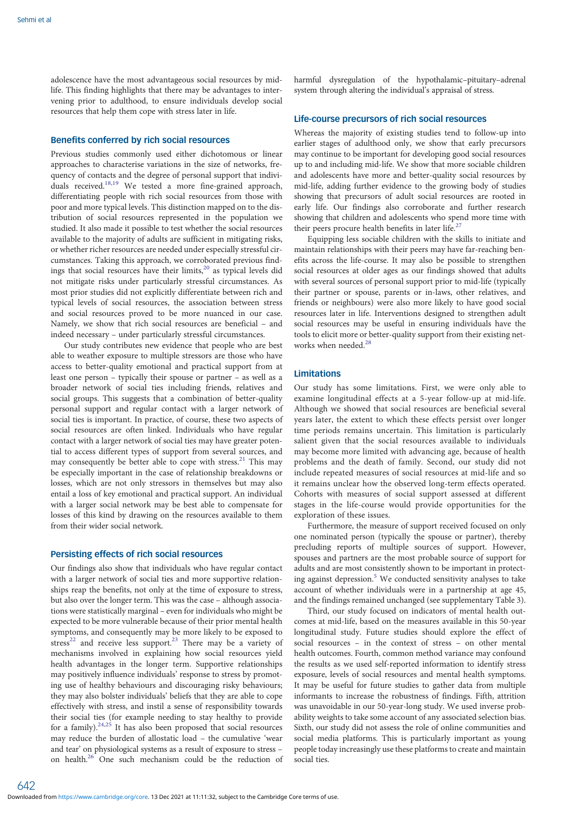adolescence have the most advantageous social resources by midlife. This finding highlights that there may be advantages to intervening prior to adulthood, to ensure individuals develop social resources that help them cope with stress later in life.

#### Benefits conferred by rich social resources

Previous studies commonly used either dichotomous or linear approaches to characterise variations in the size of networks, frequency of contacts and the degree of personal support that individuals received.<sup>18,19</sup> We tested a more fine-grained approach, differentiating people with rich social resources from those with poor and more typical levels. This distinction mapped on to the distribution of social resources represented in the population we studied. It also made it possible to test whether the social resources available to the majority of adults are sufficient in mitigating risks, or whether richer resources are needed under especially stressful circumstances. Taking this approach, we corroborated previous findings that social resources have their limits, $^{20}$  $^{20}$  $^{20}$  as typical levels did not mitigate risks under particularly stressful circumstances. As most prior studies did not explicitly differentiate between rich and typical levels of social resources, the association between stress and social resources proved to be more nuanced in our case. Namely, we show that rich social resources are beneficial – and indeed necessary – under particularly stressful circumstances.

Our study contributes new evidence that people who are best able to weather exposure to multiple stressors are those who have access to better-quality emotional and practical support from at least one person – typically their spouse or partner – as well as a broader network of social ties including friends, relatives and social groups. This suggests that a combination of better-quality personal support and regular contact with a larger network of social ties is important. In practice, of course, these two aspects of social resources are often linked. Individuals who have regular contact with a larger network of social ties may have greater potential to access different types of support from several sources, and may consequently be better able to cope with stress.<sup>[21](#page-6-0)</sup> This may be especially important in the case of relationship breakdowns or losses, which are not only stressors in themselves but may also entail a loss of key emotional and practical support. An individual with a larger social network may be best able to compensate for losses of this kind by drawing on the resources available to them from their wider social network.

## Persisting effects of rich social resources

Our findings also show that individuals who have regular contact with a larger network of social ties and more supportive relationships reap the benefits, not only at the time of exposure to stress, but also over the longer term. This was the case – although associations were statistically marginal – even for individuals who might be expected to be more vulnerable because of their prior mental health symptoms, and consequently may be more likely to be exposed to stress<sup>22</sup> and receive less support.<sup>[23](#page-6-0)</sup> There may be a variety of mechanisms involved in explaining how social resources yield health advantages in the longer term. Supportive relationships may positively influence individuals' response to stress by promoting use of healthy behaviours and discouraging risky behaviours; they may also bolster individuals' beliefs that they are able to cope effectively with stress, and instil a sense of responsibility towards their social ties (for example needing to stay healthy to provide for a family). $24,25$  It has also been proposed that social resources may reduce the burden of allostatic load – the cumulative 'wear and tear' on physiological systems as a result of exposure to stress – on health.[26](#page-6-0) One such mechanism could be the reduction of harmful dysregulation of the hypothalamic–pituitary–adrenal system through altering the individual's appraisal of stress.

## Life-course precursors of rich social resources

Whereas the majority of existing studies tend to follow-up into earlier stages of adulthood only, we show that early precursors may continue to be important for developing good social resources up to and including mid-life. We show that more sociable children and adolescents have more and better-quality social resources by mid-life, adding further evidence to the growing body of studies showing that precursors of adult social resources are rooted in early life. Our findings also corroborate and further research showing that children and adolescents who spend more time with their peers procure health benefits in later life. $<sup>2</sup>$ </sup>

Equipping less sociable children with the skills to initiate and maintain relationships with their peers may have far-reaching benefits across the life-course. It may also be possible to strengthen social resources at older ages as our findings showed that adults with several sources of personal support prior to mid-life (typically their partner or spouse, parents or in-laws, other relatives, and friends or neighbours) were also more likely to have good social resources later in life. Interventions designed to strengthen adult social resources may be useful in ensuring individuals have the tools to elicit more or better-quality support from their existing net-works when needed.<sup>[28](#page-6-0)</sup>

## Limitations

Our study has some limitations. First, we were only able to examine longitudinal effects at a 5-year follow-up at mid-life. Although we showed that social resources are beneficial several years later, the extent to which these effects persist over longer time periods remains uncertain. This limitation is particularly salient given that the social resources available to individuals may become more limited with advancing age, because of health problems and the death of family. Second, our study did not include repeated measures of social resources at mid-life and so it remains unclear how the observed long-term effects operated. Cohorts with measures of social support assessed at different stages in the life-course would provide opportunities for the exploration of these issues.

Furthermore, the measure of support received focused on only one nominated person (typically the spouse or partner), thereby precluding reports of multiple sources of support. However, spouses and partners are the most probable source of support for adults and are most consistently shown to be important in protect-ing against depression.<sup>[5](#page-5-0)</sup> We conducted sensitivity analyses to take account of whether individuals were in a partnership at age 45, and the findings remained unchanged (see supplementary Table 3).

Third, our study focused on indicators of mental health outcomes at mid-life, based on the measures available in this 50-year longitudinal study. Future studies should explore the effect of social resources – in the context of stress – on other mental health outcomes. Fourth, common method variance may confound the results as we used self-reported information to identify stress exposure, levels of social resources and mental health symptoms. It may be useful for future studies to gather data from multiple informants to increase the robustness of findings. Fifth, attrition was unavoidable in our 50-year-long study. We used inverse probability weights to take some account of any associated selection bias. Sixth, our study did not assess the role of online communities and social media platforms. This is particularly important as young people today increasingly use these platforms to create and maintain social ties.

642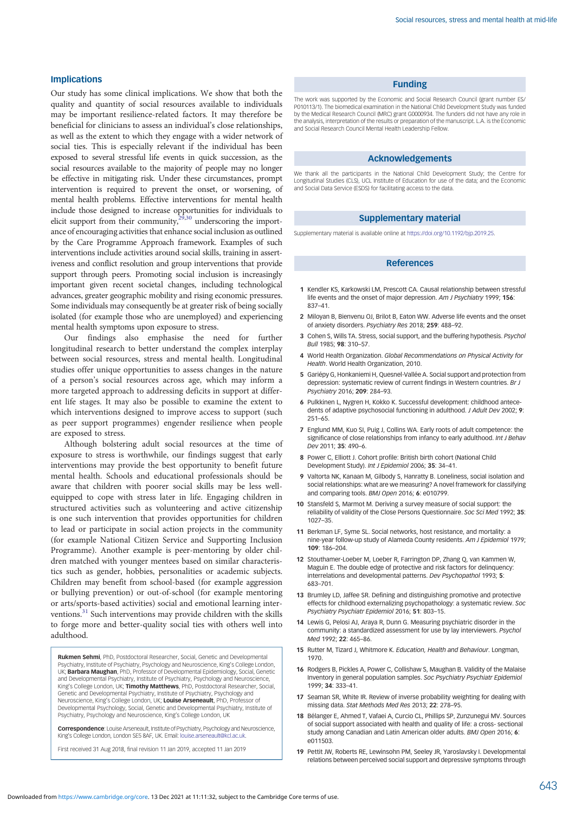## <span id="page-5-0"></span>Implications

Our study has some clinical implications. We show that both the quality and quantity of social resources available to individuals may be important resilience-related factors. It may therefore be beneficial for clinicians to assess an individual's close relationships, as well as the extent to which they engage with a wider network of social ties. This is especially relevant if the individual has been exposed to several stressful life events in quick succession, as the social resources available to the majority of people may no longer be effective in mitigating risk. Under these circumstances, prompt intervention is required to prevent the onset, or worsening, of mental health problems. Effective interventions for mental health include those designed to increase opportunities for individuals to elicit support from their community, $2^{5,30}$  underscoring the importance of encouraging activities that enhance social inclusion as outlined by the Care Programme Approach framework. Examples of such interventions include activities around social skills, training in assertiveness and conflict resolution and group interventions that provide support through peers. Promoting social inclusion is increasingly important given recent societal changes, including technological advances, greater geographic mobility and rising economic pressures. Some individuals may consequently be at greater risk of being socially isolated (for example those who are unemployed) and experiencing mental health symptoms upon exposure to stress.

Our findings also emphasise the need for further longitudinal research to better understand the complex interplay between social resources, stress and mental health. Longitudinal studies offer unique opportunities to assess changes in the nature of a person's social resources across age, which may inform a more targeted approach to addressing deficits in support at different life stages. It may also be possible to examine the extent to which interventions designed to improve access to support (such as peer support programmes) engender resilience when people are exposed to stress.

Although bolstering adult social resources at the time of exposure to stress is worthwhile, our findings suggest that early interventions may provide the best opportunity to benefit future mental health. Schools and educational professionals should be aware that children with poorer social skills may be less wellequipped to cope with stress later in life. Engaging children in structured activities such as volunteering and active citizenship is one such intervention that provides opportunities for children to lead or participate in social action projects in the community (for example National Citizen Service and Supporting Inclusion Programme). Another example is peer-mentoring by older children matched with younger mentees based on similar characteristics such as gender, hobbies, personalities or academic subjects. Children may benefit from school-based (for example aggression or bullying prevention) or out-of-school (for example mentoring or arts/sports-based activities) social and emotional learning inter-ventions.<sup>[31](#page-6-0)</sup> Such interventions may provide children with the skills to forge more and better-quality social ties with others well into adulthood.

Rukmen Sehmi, PhD, Postdoctoral Researcher, Social, Genetic and Developmental Psychiatry, Institute of Psychiatry, Psychology and Neuroscience, King's College London, UK; Barbara Maughan, PhD, Professor of Developmental Epidemiology, Social, Genetic and Developmental Psychiatry, Institute of Psychiatry, Psychology and Neuroscience,<br>King's College London, UK; **Timothy Matthews**, PhD, Postdoctoral Researcher, Social, Genetic and Developmental Psychiatry, Institute of Psychiatry, Psychology and Neuroscience, King's College London, UK; **Louise Arseneault**, PhD, Professor of<br>Developmental Psychology, Social, Genetic and Developmental Psychiatry, Institute of Psychiatry, Psychology and Neuroscience, King's College London, UK

Correspondence: Louise Arseneault, Institute of Psychiatry, Psychology and Neuroscience, King's College London, London SE5 8AF, UK. Email: [louise.arseneault@kcl.ac.uk.](mailto:louise.arseneault@kcl.ac.uk)

First received 31 Aug 2018, final revision 11 Jan 2019, accepted 11 Jan 2019

#### Funding

The work was supported by the Economic and Social Research Council (grant number ES/ P010113/1). The biomedical examination in the National Child Development Study was funded by the Medical Research Council (MRC) grant G0000934. The funders did not have any role in the analysis, interpretation of the results or preparation of the manuscript. L.A. is the Economic and Social Research Council Mental Health Leadership Fellow.

## Acknowledgements

We thank all the participants in the National Child Development Study; the Centre for Longitudinal Studies (CLS), UCL Institute of Education for use of the data; and the Economic and Social Data Service (ESDS) for facilitating access to the data.

## Supplementary material

Supplementary material is available online at <https://doi.org/10.1192/bjp.2019.25>.

## References

- 1 Kendler KS, Karkowski LM, Prescott CA. Causal relationship between stressful life events and the onset of major depression. Am J Psychiatry 1999; 156: 837–41.
- 2 Miloyan B, Bienvenu OJ, Brilot B, Eaton WW. Adverse life events and the onset of anxiety disorders. Psychiatry Res 2018; 259: 488–92.
- 3 Cohen S, Wills TA. Stress, social support, and the buffering hypothesis. Psychol Bull 1985; 98: 310–57.
- 4 World Health Organization. Global Recommendations on Physical Activity for Health. World Health Organization, 2010.
- 5 Gariépy G, Honkaniemi H, Quesnel-Vallée A. Social support and protection from depression: systematic review of current findings in Western countries. Br J Psychiatry 2016; 209: 284–93.
- 6 Pulkkinen L, Nygren H, Kokko K. Successful development: childhood antecedents of adaptive psychosocial functioning in adulthood. J Adult Dev 2002; 9: 251–65.
- 7 Englund MM, Kuo SI, Puig J, Collins WA. Early roots of adult competence: the significance of close relationships from infancy to early adulthood. Int J Behav Dev 2011; 35: 490–6.
- 8 Power C, Elliott J. Cohort profile: British birth cohort (National Child Development Study). Int J Epidemiol 2006; 35: 34–41.
- 9 Valtorta NK, Kanaan M, Gilbody S, Hanratty B. Loneliness, social isolation and social relationships: what are we measuring? A novel framework for classifying and comparing tools. BMJ Open 2016; 6: e010799.
- 10 Stansfeld S, Marmot M. Deriving a survey measure of social support: the reliability of validity of the Close Persons Questionnaire. Soc Sci Med 1992; 35: 1027–35.
- 11 Berkman LF, Syme SL. Social networks, host resistance, and mortality: a nine-year follow-up study of Alameda County residents. Am J Epidemiol 1979; 109: 186–204.
- 12 Stouthamer-Loeber M, Loeber R, Farrington DP, Zhang Q, van Kammen W, Maguin E. The double edge of protective and risk factors for delinquency: interrelations and developmental patterns. Dev Psychopathol 1993; 5: 683–701.
- 13 Brumley LD, Jaffee SR. Defining and distinguishing promotive and protective effects for childhood externalizing psychopathology: a systematic review. Soc Psychiatry Psychiatr Epidemiol 2016; 51: 803–15.
- 14 Lewis G, Pelosi AJ, Araya R, Dunn G. Measuring psychiatric disorder in the community: a standardized assessment for use by lay interviewers. Psychol Med 1992; 22: 465–86.
- 15 Rutter M, Tizard J, Whitmore K. Education, Health and Behaviour. Longman, 1970.
- 16 Rodgers B, Pickles A, Power C, Collishaw S, Maughan B. Validity of the Malaise Inventory in general population samples. Soc Psychiatry Psychiatr Epidemiol 1999; 34: 333–41.
- 17 Seaman SR, White IR. Review of inverse probability weighting for dealing with missing data. Stat Methods Med Res 2013; 22: 278–95.
- 18 Bélanger E, Ahmed T, Vafaei A, Curcio CL, Phillips SP, Zunzunegui MV. Sources of social support associated with health and quality of life: a cross- sectional study among Canadian and Latin American older adults. BMJ Open 2016; 6: e011503.
- 19 Pettit JW, Roberts RE, Lewinsohn PM, Seeley JR, Yaroslavsky I. Developmental relations between perceived social support and depressive symptoms through